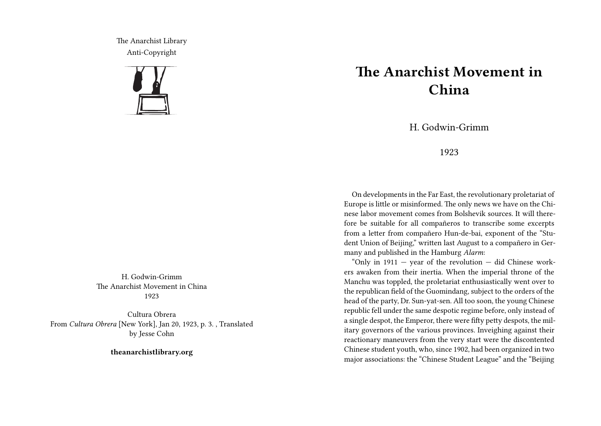The Anarchist Library Anti-Copyright



H. Godwin-Grimm The Anarchist Movement in China 1923

Cultura Obrera From *Cultura Obrera* [New York], Jan 20, 1923, p. 3. , Translated by Jesse Cohn

**theanarchistlibrary.org**

## **The Anarchist Movement in China**

H. Godwin-Grimm

## 1923

On developments in the Far East, the revolutionary proletariat of Europe is little or misinformed. The only news we have on the Chinese labor movement comes from Bolshevik sources. It will therefore be suitable for all compañeros to transcribe some excerpts from a letter from compañero Hun-de-bai, exponent of the "Student Union of Beijing," written last August to a compañero in Germany and published in the Hamburg *Alarm*:

"Only in  $1911 -$  year of the revolution  $-$  did Chinese workers awaken from their inertia. When the imperial throne of the Manchu was toppled, the proletariat enthusiastically went over to the republican field of the Guomindang, subject to the orders of the head of the party, Dr. Sun-yat-sen. All too soon, the young Chinese republic fell under the same despotic regime before, only instead of a single despot, the Emperor, there were fifty petty despots, the military governors of the various provinces. Inveighing against their reactionary maneuvers from the very start were the discontented Chinese student youth, who, since 1902, had been organized in two major associations: the "Chinese Student League" and the "Beijing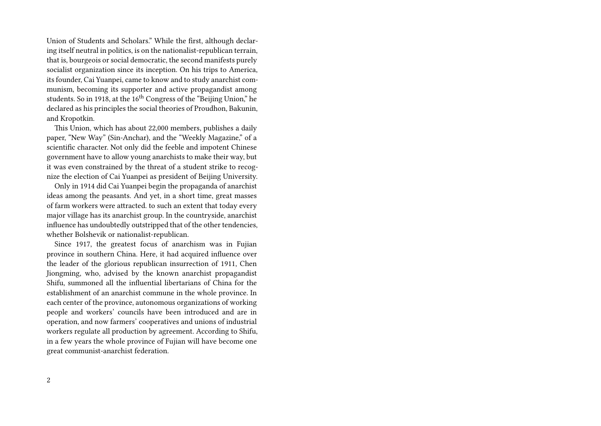Union of Students and Scholars." While the first, although declaring itself neutral in politics, is on the nationalist-republican terrain, that is, bourgeois or social democratic, the second manifests purely socialist organization since its inception. On his trips to America, its founder, Cai Yuanpei, came to know and to study anarchist communism, becoming its supporter and active propagandist among students. So in 1918, at the 16<sup>th</sup> Congress of the "Beijing Union," he declared as his principles the social theories of Proudhon, Bakunin, and Kropotkin.

This Union, which has about 22,000 members, publishes a daily paper, "New Way" (Sin-Anchar), and the "Weekly Magazine," of a scientific character. Not only did the feeble and impotent Chinese government have to allow young anarchists to make their way, but it was even constrained by the threat of a student strike to recognize the election of Cai Yuanpei as president of Beijing University.

Only in 1914 did Cai Yuanpei begin the propaganda of anarchist ideas among the peasants. And yet, in a short time, great masses of farm workers were attracted. to such an extent that today every major village has its anarchist group. In the countryside, anarchist influence has undoubtedly outstripped that of the other tendencies, whether Bolshevik or nationalist-republican.

Since 1917, the greatest focus of anarchism was in Fujian province in southern China. Here, it had acquired influence over the leader of the glorious republican insurrection of 1911, Chen Jiongming, who, advised by the known anarchist propagandist Shifu, summoned all the influential libertarians of China for the establishment of an anarchist commune in the whole province. In each center of the province, autonomous organizations of working people and workers' councils have been introduced and are in operation, and now farmers' cooperatives and unions of industrial workers regulate all production by agreement. According to Shifu, in a few years the whole province of Fujian will have become one great communist-anarchist federation.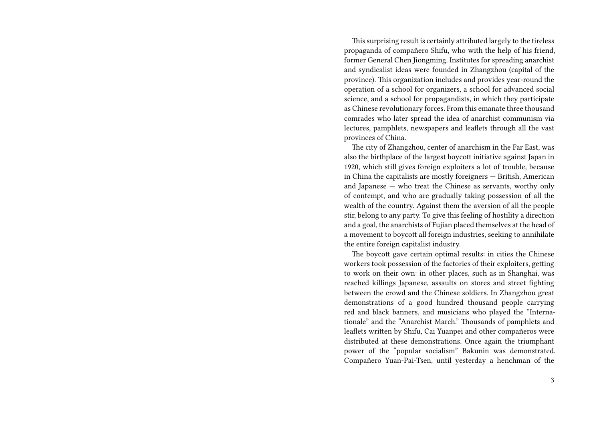This surprising result is certainly attributed largely to the tireless propaganda of compañero Shifu, who with the help of his friend, former General Chen Jiongming. Institutes for spreading anarchist and syndicalist ideas were founded in Zhangzhou (capital of the province). This organization includes and provides year-round the operation of a school for organizers, a school for advanced social science, and a school for propagandists, in which they participate as Chinese revolutionary forces. From this emanate three thousand comrades who later spread the idea of anarchist communism via lectures, pamphlets, newspapers and leaflets through all the vast provinces of China.

The city of Zhangzhou, center of anarchism in the Far East, was also the birthplace of the largest boycott initiative against Japan in 1920, which still gives foreign exploiters a lot of trouble, because in China the capitalists are mostly foreigners — British, American and Japanese — who treat the Chinese as servants, worthy only of contempt, and who are gradually taking possession of all the wealth of the country. Against them the aversion of all the people stir, belong to any party. To give this feeling of hostility a direction and a goal, the anarchists of Fujian placed themselves at the head of a movement to boycott all foreign industries, seeking to annihilate the entire foreign capitalist industry.

The boycott gave certain optimal results: in cities the Chinese workers took possession of the factories of their exploiters, getting to work on their own: in other places, such as in Shanghai, was reached killings Japanese, assaults on stores and street fighting between the crowd and the Chinese soldiers. In Zhangzhou great demonstrations of a good hundred thousand people carrying red and black banners, and musicians who played the "Internationale" and the "Anarchist March." Thousands of pamphlets and leaflets written by Shifu, Cai Yuanpei and other compañeros were distributed at these demonstrations. Once again the triumphant power of the "popular socialism" Bakunin was demonstrated. Compañero Yuan-Pai-Tsen, until yesterday a henchman of the